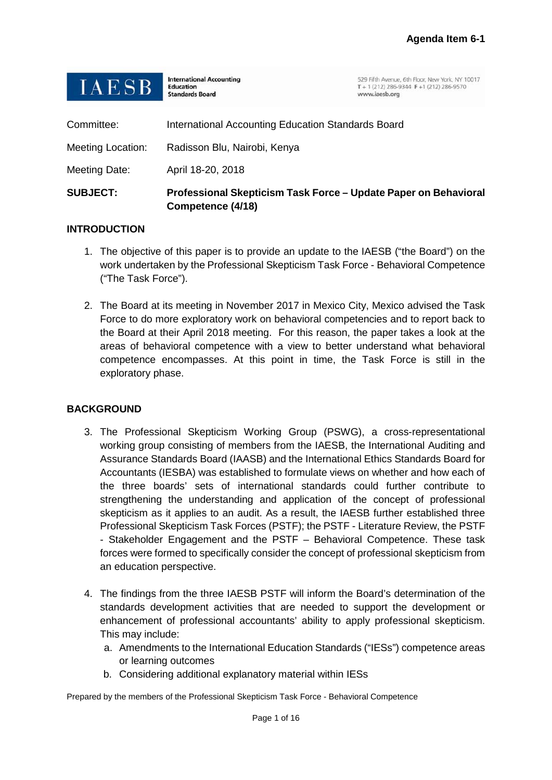| <b>SUBJECT:</b>          | Professional Skepticism Task Force - Update Paper on Behavioral<br>Competence (4/18) |                                                                                                               |
|--------------------------|--------------------------------------------------------------------------------------|---------------------------------------------------------------------------------------------------------------|
| Meeting Date:            | April 18-20, 2018                                                                    |                                                                                                               |
| <b>Meeting Location:</b> | Radisson Blu, Nairobi, Kenya                                                         |                                                                                                               |
| Committee:               | International Accounting Education Standards Board                                   |                                                                                                               |
| <b>IAESB</b>             | <b>International Accounting</b><br><b>Education</b><br><b>Standards Board</b>        | 529 Fifth Avenue, 6th Floor, New York, NY 10017<br>T + 1 (212) 286-9344 F + 1 (212) 286-9570<br>www.iaesb.org |

## **INTRODUCTION**

- 1. The objective of this paper is to provide an update to the IAESB ("the Board") on the work undertaken by the Professional Skepticism Task Force - Behavioral Competence ("The Task Force").
- 2. The Board at its meeting in November 2017 in Mexico City, Mexico advised the Task Force to do more exploratory work on behavioral competencies and to report back to the Board at their April 2018 meeting. For this reason, the paper takes a look at the areas of behavioral competence with a view to better understand what behavioral competence encompasses. At this point in time, the Task Force is still in the exploratory phase.

## **BACKGROUND**

- 3. The Professional Skepticism Working Group (PSWG), a cross-representational working group consisting of members from the IAESB, the International Auditing and Assurance Standards Board (IAASB) and the International Ethics Standards Board for Accountants (IESBA) was established to formulate views on whether and how each of the three boards' sets of international standards could further contribute to strengthening the understanding and application of the concept of professional skepticism as it applies to an audit. As a result, the IAESB further established three Professional Skepticism Task Forces (PSTF); the PSTF - Literature Review, the PSTF - Stakeholder Engagement and the PSTF – Behavioral Competence. These task forces were formed to specifically consider the concept of professional skepticism from an education perspective.
- 4. The findings from the three IAESB PSTF will inform the Board's determination of the standards development activities that are needed to support the development or enhancement of professional accountants' ability to apply professional skepticism. This may include:
	- a. Amendments to the International Education Standards ("IESs") competence areas or learning outcomes
	- b. Considering additional explanatory material within IESs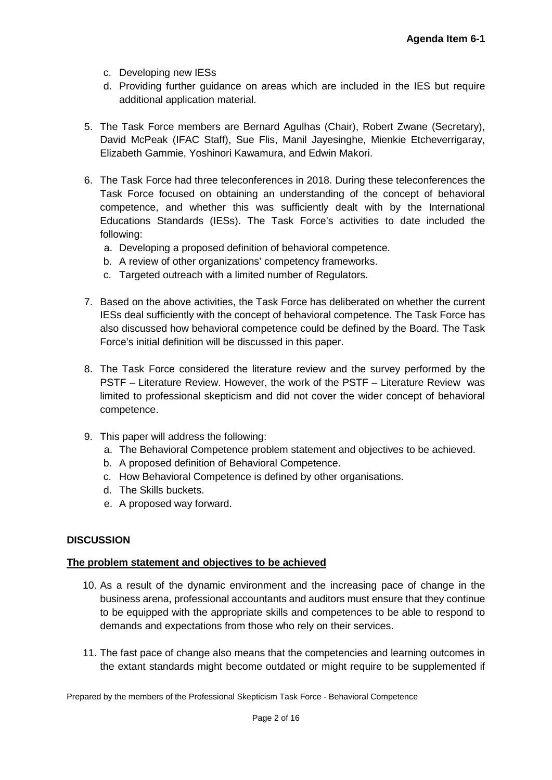- c. Developing new IESs
- d. Providing further guidance on areas which are included in the IES but require additional application material.
- 5. The Task Force members are Bernard Agulhas (Chair), Robert Zwane (Secretary), David McPeak (IFAC Staff), Sue Flis, Manil Jayesinghe, Mienkie Etcheverrigaray, Elizabeth Gammie, Yoshinori Kawamura, and Edwin Makori.
- 6. The Task Force had three teleconferences in 2018. During these teleconferences the Task Force focused on obtaining an understanding of the concept of behavioral competence, and whether this was sufficiently dealt with by the International Educations Standards (IESs). The Task Force's activities to date included the following:
	- a. Developing a proposed definition of behavioral competence.
	- b. A review of other organizations' competency frameworks.
	- c. Targeted outreach with a limited number of Regulators.
- 7. Based on the above activities, the Task Force has deliberated on whether the current IESs deal sufficiently with the concept of behavioral competence. The Task Force has also discussed how behavioral competence could be defined by the Board. The Task Force's initial definition will be discussed in this paper.
- 8. The Task Force considered the literature review and the survey performed by the PSTF – Literature Review. However, the work of the PSTF – Literature Review was limited to professional skepticism and did not cover the wider concept of behavioral competence.
- 9. This paper will address the following:
	- a. The Behavioral Competence problem statement and objectives to be achieved.
	- b. A proposed definition of Behavioral Competence.
	- c. How Behavioral Competence is defined by other organisations.
	- d. The Skills buckets.
	- e. A proposed way forward.

# **DISCUSSION**

## **The problem statement and objectives to be achieved**

- 10. As a result of the dynamic environment and the increasing pace of change in the business arena, professional accountants and auditors must ensure that they continue to be equipped with the appropriate skills and competences to be able to respond to demands and expectations from those who rely on their services.
- 11. The fast pace of change also means that the competencies and learning outcomes in the extant standards might become outdated or might require to be supplemented if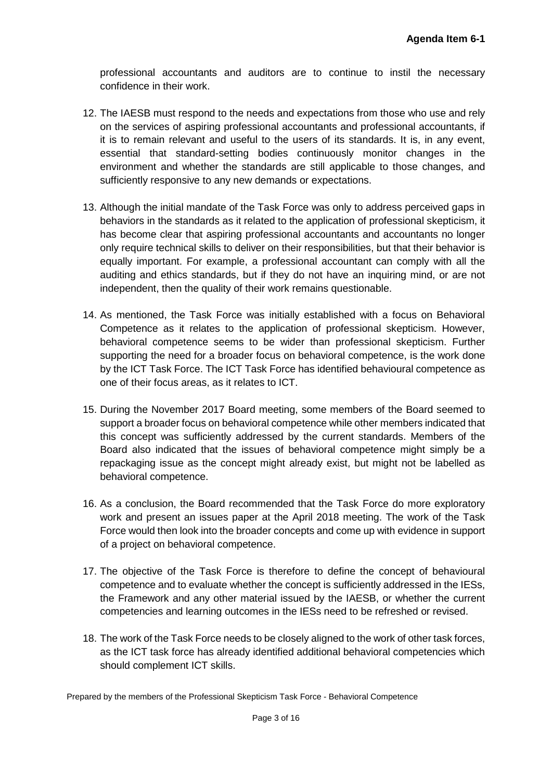professional accountants and auditors are to continue to instil the necessary confidence in their work.

- 12. The IAESB must respond to the needs and expectations from those who use and rely on the services of aspiring professional accountants and professional accountants, if it is to remain relevant and useful to the users of its standards. It is, in any event, essential that standard-setting bodies continuously monitor changes in the environment and whether the standards are still applicable to those changes, and sufficiently responsive to any new demands or expectations.
- 13. Although the initial mandate of the Task Force was only to address perceived gaps in behaviors in the standards as it related to the application of professional skepticism, it has become clear that aspiring professional accountants and accountants no longer only require technical skills to deliver on their responsibilities, but that their behavior is equally important. For example, a professional accountant can comply with all the auditing and ethics standards, but if they do not have an inquiring mind, or are not independent, then the quality of their work remains questionable.
- 14. As mentioned, the Task Force was initially established with a focus on Behavioral Competence as it relates to the application of professional skepticism. However, behavioral competence seems to be wider than professional skepticism. Further supporting the need for a broader focus on behavioral competence, is the work done by the ICT Task Force. The ICT Task Force has identified behavioural competence as one of their focus areas, as it relates to ICT.
- 15. During the November 2017 Board meeting, some members of the Board seemed to support a broader focus on behavioral competence while other members indicated that this concept was sufficiently addressed by the current standards. Members of the Board also indicated that the issues of behavioral competence might simply be a repackaging issue as the concept might already exist, but might not be labelled as behavioral competence.
- 16. As a conclusion, the Board recommended that the Task Force do more exploratory work and present an issues paper at the April 2018 meeting. The work of the Task Force would then look into the broader concepts and come up with evidence in support of a project on behavioral competence.
- 17. The objective of the Task Force is therefore to define the concept of behavioural competence and to evaluate whether the concept is sufficiently addressed in the IESs, the Framework and any other material issued by the IAESB, or whether the current competencies and learning outcomes in the IESs need to be refreshed or revised.
- 18. The work of the Task Force needs to be closely aligned to the work of other task forces, as the ICT task force has already identified additional behavioral competencies which should complement ICT skills.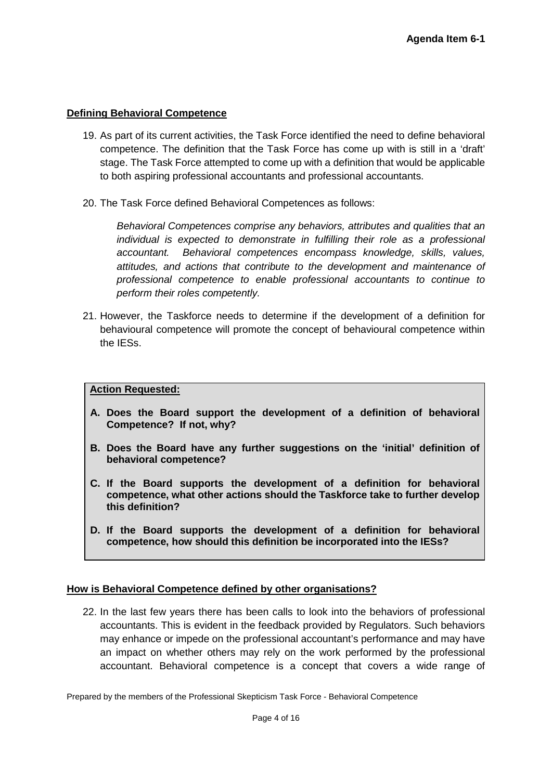## **Defining Behavioral Competence**

- 19. As part of its current activities, the Task Force identified the need to define behavioral competence. The definition that the Task Force has come up with is still in a 'draft' stage. The Task Force attempted to come up with a definition that would be applicable to both aspiring professional accountants and professional accountants.
- 20. The Task Force defined Behavioral Competences as follows:

*Behavioral Competences comprise any behaviors, attributes and qualities that an individual is expected to demonstrate in fulfilling their role as a professional accountant. Behavioral competences encompass knowledge, skills, values, attitudes, and actions that contribute to the development and maintenance of professional competence to enable professional accountants to continue to perform their roles competently.*

21. However, the Taskforce needs to determine if the development of a definition for behavioural competence will promote the concept of behavioural competence within the IESs.

## **Action Requested:**

- **A. Does the Board support the development of a definition of behavioral Competence? If not, why?**
- **B. Does the Board have any further suggestions on the 'initial' definition of behavioral competence?**
- **C. If the Board supports the development of a definition for behavioral competence, what other actions should the Taskforce take to further develop this definition?**
- **D. If the Board supports the development of a definition for behavioral competence, how should this definition be incorporated into the IESs?**

## **How is Behavioral Competence defined by other organisations?**

22. In the last few years there has been calls to look into the behaviors of professional accountants. This is evident in the feedback provided by Regulators. Such behaviors may enhance or impede on the professional accountant's performance and may have an impact on whether others may rely on the work performed by the professional accountant. Behavioral competence is a concept that covers a wide range of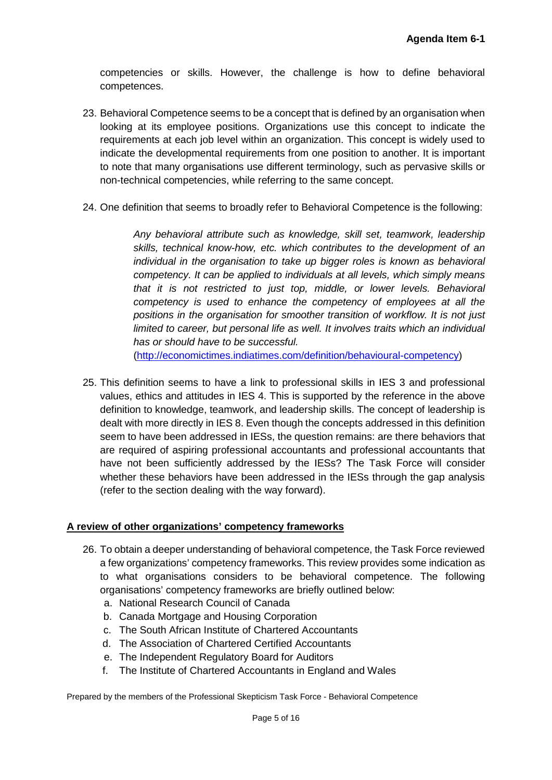competencies or skills. However, the challenge is how to define behavioral competences.

- 23. Behavioral Competence seems to be a concept that is defined by an organisation when looking at its employee positions. Organizations use this concept to indicate the requirements at each job level within an organization. This concept is widely used to indicate the developmental requirements from one position to another. It is important to note that many organisations use different terminology, such as pervasive skills or non-technical competencies, while referring to the same concept.
- 24. One definition that seems to broadly refer to Behavioral Competence is the following:

*Any behavioral attribute such as knowledge, skill set, teamwork, leadership skills, technical know-how, etc. which contributes to the development of an individual in the organisation to take up bigger roles is known as behavioral competency. It can be applied to individuals at all levels, which simply means that it is not restricted to just top, middle, or lower levels. Behavioral competency is used to enhance the competency of employees at all the positions in the organisation for smoother transition of workflow. It is not just limited to career, but personal life as well. It involves traits which an individual has or should have to be successful.*

[\(http://economictimes.indiatimes.com/definition/behavioural-competency\)](http://economictimes.indiatimes.com/definition/behavioural-competency)

25. This definition seems to have a link to professional skills in IES 3 and professional values, ethics and attitudes in IES 4. This is supported by the reference in the above definition to knowledge, teamwork, and leadership skills. The concept of leadership is dealt with more directly in IES 8. Even though the concepts addressed in this definition seem to have been addressed in IESs, the question remains: are there behaviors that are required of aspiring professional accountants and professional accountants that have not been sufficiently addressed by the IESs? The Task Force will consider whether these behaviors have been addressed in the IESs through the gap analysis (refer to the section dealing with the way forward).

## **A review of other organizations' competency frameworks**

- 26. To obtain a deeper understanding of behavioral competence, the Task Force reviewed a few organizations' competency frameworks. This review provides some indication as to what organisations considers to be behavioral competence. The following organisations' competency frameworks are briefly outlined below:
	- a. National Research Council of Canada
	- b. Canada Mortgage and Housing Corporation
	- c. The South African Institute of Chartered Accountants
	- d. The Association of Chartered Certified Accountants
	- e. The Independent Regulatory Board for Auditors
	- f. The Institute of Chartered Accountants in England and Wales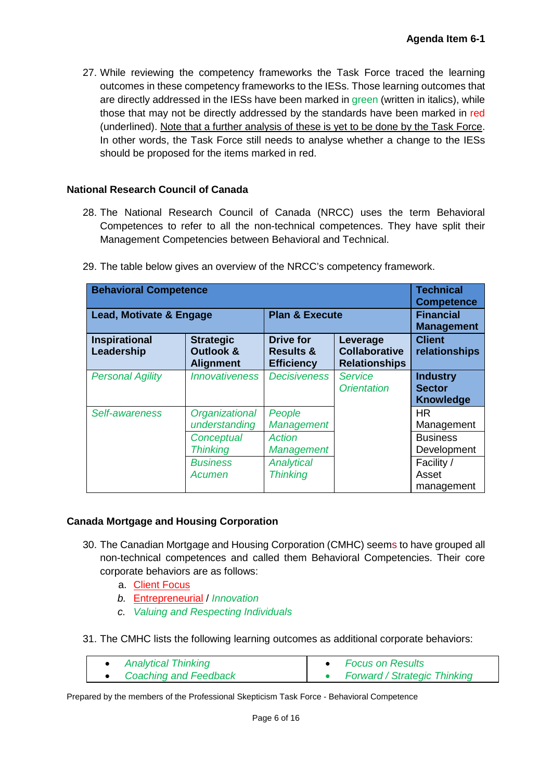27. While reviewing the competency frameworks the Task Force traced the learning outcomes in these competency frameworks to the IESs. Those learning outcomes that are directly addressed in the IESs have been marked in green (written in italics), while those that may not be directly addressed by the standards have been marked in red (underlined). Note that a further analysis of these is yet to be done by the Task Force. In other words, the Task Force still needs to analyse whether a change to the IESs should be proposed for the items marked in red.

## **National Research Council of Canada**

28. The National Research Council of Canada (NRCC) uses the term Behavioral Competences to refer to all the non-technical competences. They have split their Management Competencies between Behavioral and Technical.

| <b>Behavioral Competence</b>       |                                                   |                                                               |                                                          | <b>Technical</b><br><b>Competence</b>                |
|------------------------------------|---------------------------------------------------|---------------------------------------------------------------|----------------------------------------------------------|------------------------------------------------------|
| <b>Lead, Motivate &amp; Engage</b> |                                                   | <b>Plan &amp; Execute</b>                                     |                                                          | <b>Financial</b><br><b>Management</b>                |
| <b>Inspirational</b><br>Leadership | <b>Strategic</b><br>Outlook &<br><b>Alignment</b> | <b>Drive for</b><br><b>Results &amp;</b><br><b>Efficiency</b> | Leverage<br><b>Collaborative</b><br><b>Relationships</b> | <b>Client</b><br>relationships                       |
| <b>Personal Agility</b>            | <b>Innovativeness</b>                             | <b>Decisiveness</b>                                           | <b>Service</b><br><b>Orientation</b>                     | <b>Industry</b><br><b>Sector</b><br><b>Knowledge</b> |
| Self-awareness                     | Organizational<br>understanding                   | People<br><b>Management</b>                                   |                                                          | <b>HR</b><br>Management                              |
|                                    | Conceptual<br><b>Thinking</b>                     | Action<br><b>Management</b>                                   |                                                          | <b>Business</b><br>Development                       |
|                                    | <b>Business</b><br>Acumen                         | <b>Analytical</b><br><b>Thinking</b>                          |                                                          | Facility /<br>Asset<br>management                    |

29. The table below gives an overview of the NRCC's competency framework.

# **Canada Mortgage and Housing Corporation**

- 30. The Canadian Mortgage and Housing Corporation (CMHC) seems to have grouped all non-technical competences and called them Behavioral Competencies. Their core corporate behaviors are as follows:
	- a. Client Focus
	- *b.* Entrepreneurial / *Innovation*
	- *c. Valuing and Respecting Individuals*
- 31. The CMHC lists the following learning outcomes as additional corporate behaviors:

| <b>Analytical Thinking</b>   | <b>Focus on Results</b>             |
|------------------------------|-------------------------------------|
| <b>Coaching and Feedback</b> | <b>Forward / Strategic Thinking</b> |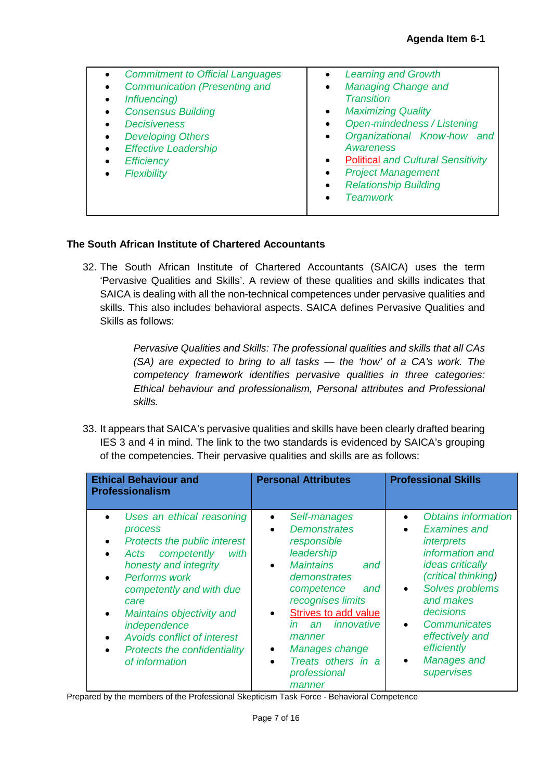| $\bullet$<br>$\bullet$<br>Influencing)<br>$\bullet$<br>$\bullet$<br>$\bullet$<br><b>Efficiency</b><br>$\bullet$<br>Flexibility | <b>Commitment to Official Languages</b><br><b>Communication (Presenting and</b><br><b>Consensus Building</b><br><b>Decisiveness</b><br><b>Developing Others</b><br><b>Effective Leadership</b> | $\bullet$<br>$\bullet$<br>$\bullet$<br>$\bullet$<br>$\bullet$<br>$\bullet$<br>$\bullet$<br>$\bullet$ | <b>Learning and Growth</b><br><b>Managing Change and</b><br><b>Transition</b><br><b>Maximizing Quality</b><br><b>Open-mindedness / Listening</b><br>Organizational Know-how and<br><b>Awareness</b><br><b>Political and Cultural Sensitivity</b><br><b>Project Management</b><br><b>Relationship Building</b> |
|--------------------------------------------------------------------------------------------------------------------------------|------------------------------------------------------------------------------------------------------------------------------------------------------------------------------------------------|------------------------------------------------------------------------------------------------------|---------------------------------------------------------------------------------------------------------------------------------------------------------------------------------------------------------------------------------------------------------------------------------------------------------------|
|                                                                                                                                |                                                                                                                                                                                                | $\bullet$                                                                                            | <b>Teamwork</b>                                                                                                                                                                                                                                                                                               |
|                                                                                                                                |                                                                                                                                                                                                |                                                                                                      |                                                                                                                                                                                                                                                                                                               |

## **The South African Institute of Chartered Accountants**

32. The South African Institute of Chartered Accountants (SAICA) uses the term 'Pervasive Qualities and Skills'. A review of these qualities and skills indicates that SAICA is dealing with all the non-technical competences under pervasive qualities and skills. This also includes behavioral aspects. SAICA defines Pervasive Qualities and Skills as follows:

> *Pervasive Qualities and Skills: The professional qualities and skills that all CAs (SA) are expected to bring to all tasks — the 'how' of a CA's work. The competency framework identifies pervasive qualities in three categories: Ethical behaviour and professionalism, Personal attributes and Professional skills.*

33. It appears that SAICA's pervasive qualities and skills have been clearly drafted bearing IES 3 and 4 in mind. The link to the two standards is evidenced by SAICA's grouping of the competencies. Their pervasive qualities and skills are as follows:

| <b>Ethical Behaviour and</b><br><b>Professionalism</b>                                                                                                                                                                                                                                                                                     | <b>Personal Attributes</b>                                                                                                                                                                                                                                                                                                                   | <b>Professional Skills</b>                                                                                                                                                                                                                                                                              |
|--------------------------------------------------------------------------------------------------------------------------------------------------------------------------------------------------------------------------------------------------------------------------------------------------------------------------------------------|----------------------------------------------------------------------------------------------------------------------------------------------------------------------------------------------------------------------------------------------------------------------------------------------------------------------------------------------|---------------------------------------------------------------------------------------------------------------------------------------------------------------------------------------------------------------------------------------------------------------------------------------------------------|
| Uses an ethical reasoning<br>process<br>Protects the public interest<br>competently<br>with<br>Acts<br>honesty and integrity<br>Performs work<br>$\bullet$<br>competently and with due<br>care<br>Maintains objectivity and<br>independence<br><b>Avoids conflict of interest</b><br><b>Protects the confidentiality</b><br>of information | Self-manages<br>$\bullet$<br><b>Demonstrates</b><br>$\bullet$<br>responsible<br>leadership<br><b>Maintains</b><br>and<br>$\bullet$<br>demonstrates<br>competence<br>and<br>recognises limits<br>Strives to add value<br>innovative<br>in<br>an<br>manner<br>Manages change<br>٠<br>Treats others in a<br>$\bullet$<br>professional<br>manner | Obtains information<br><b>Examines and</b><br><i>interprets</i><br>information and<br><i>ideas critically</i><br>(critical thinking)<br>Solves problems<br>$\bullet$<br>and makes<br>decisions<br>Communicates<br>$\bullet$<br>effectively and<br>efficiently<br>Manages and<br>$\bullet$<br>supervises |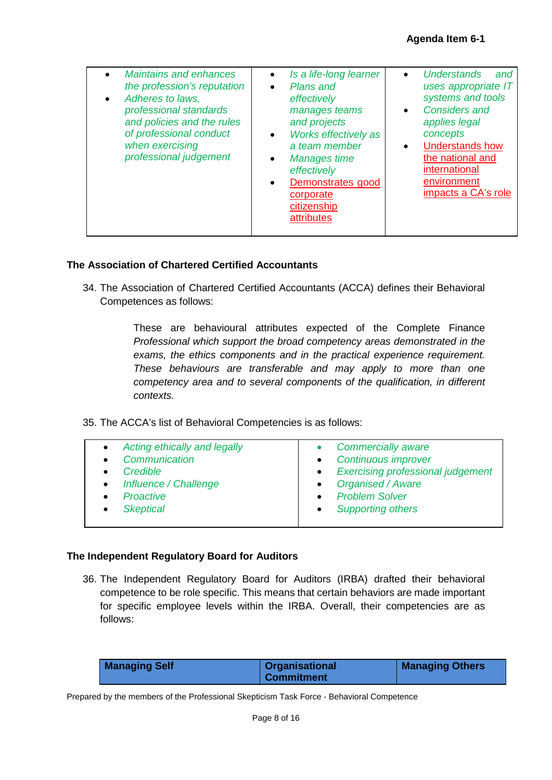| <b>Maintains and enhances</b><br>the profession's reputation<br>Adheres to laws,<br>professional standards<br>and policies and the rules<br>of professional conduct<br>when exercising<br>professional judgement | Is a life-long learner<br>$\bullet$<br>Plans and<br>$\bullet$<br>effectively<br>manages teams<br>and projects<br>Works effectively as<br>$\bullet$<br>a team member<br><b>Manages time</b><br>$\bullet$<br>effectively<br>Demonstrates good<br>$\bullet$<br>corporate<br>citizenship<br><b>attributes</b> | <b>Understands</b><br>and<br>uses appropriate IT<br>systems and tools<br><b>Considers and</b><br>$\bullet$<br>applies legal<br>concepts<br><b>Understands how</b><br>the national and<br>international<br>environment<br>impacts a CA's role |
|------------------------------------------------------------------------------------------------------------------------------------------------------------------------------------------------------------------|-----------------------------------------------------------------------------------------------------------------------------------------------------------------------------------------------------------------------------------------------------------------------------------------------------------|----------------------------------------------------------------------------------------------------------------------------------------------------------------------------------------------------------------------------------------------|
|------------------------------------------------------------------------------------------------------------------------------------------------------------------------------------------------------------------|-----------------------------------------------------------------------------------------------------------------------------------------------------------------------------------------------------------------------------------------------------------------------------------------------------------|----------------------------------------------------------------------------------------------------------------------------------------------------------------------------------------------------------------------------------------------|

## **The Association of Chartered Certified Accountants**

34. The Association of Chartered Certified Accountants (ACCA) defines their Behavioral Competences as follows:

> These are behavioural attributes expected of the Complete Finance *Professional which support the broad competency areas demonstrated in the exams, the ethics components and in the practical experience requirement. These behaviours are transferable and may apply to more than one competency area and to several components of the qualification, in different contexts.*

35. The ACCA's list of Behavioral Competencies is as follows:

| Acting ethically and legally<br>$\bullet$ | <b>Commercially aware</b>                             |
|-------------------------------------------|-------------------------------------------------------|
| Communication                             | <b>Continuous improver</b>                            |
| Credible                                  | <b>Exercising professional judgement</b><br>$\bullet$ |
| Influence / Challenge<br>$\bullet$        | <b>Organised / Aware</b>                              |
| <b>Proactive</b>                          | <b>Problem Solver</b>                                 |
| <b>Skeptical</b>                          | <b>Supporting others</b>                              |
|                                           |                                                       |

## **The Independent Regulatory Board for Auditors**

36. The Independent Regulatory Board for Auditors (IRBA) drafted their behavioral competence to be role specific. This means that certain behaviors are made important for specific employee levels within the IRBA. Overall, their competencies are as follows:

| <b>Managing Self</b> | <b>Organisational</b> | <b>Managing Others</b> |
|----------------------|-----------------------|------------------------|
|                      | <b>Commitment</b>     |                        |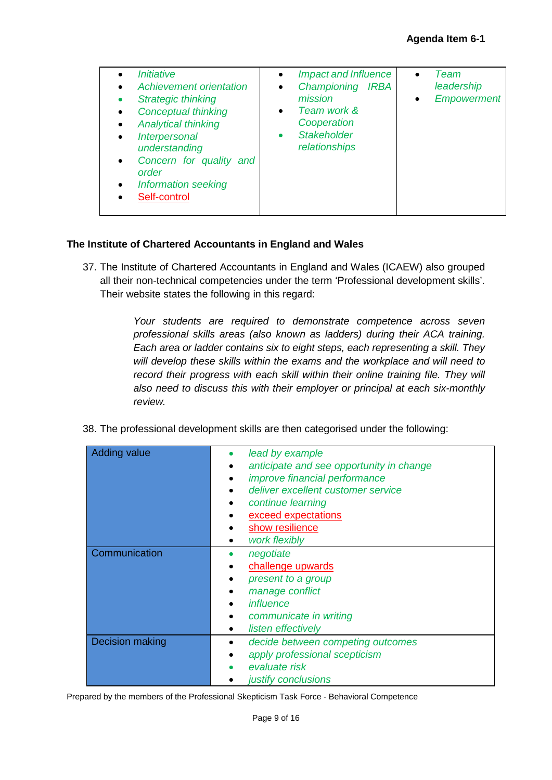| <i><b>Initiative</b></i><br>$\bullet$<br><b>Achievement orientation</b><br>$\bullet$<br><b>Strategic thinking</b><br><b>Conceptual thinking</b><br>$\bullet$<br><b>Analytical thinking</b><br>$\bullet$<br>Interpersonal<br>$\bullet$<br>understanding<br>Concern for quality and<br>$\bullet$<br>order<br><b>Information seeking</b><br>$\bullet$<br>Self-control | <b>Impact and Influence</b><br>$\bullet$<br>Championing IRBA<br>$\bullet$<br>mission<br>Team work &<br>$\bullet$<br>Cooperation<br><b>Stakeholder</b><br>relationships | Team<br>$\bullet$<br>leadership<br><b>Empowerment</b><br>$\bullet$ |
|--------------------------------------------------------------------------------------------------------------------------------------------------------------------------------------------------------------------------------------------------------------------------------------------------------------------------------------------------------------------|------------------------------------------------------------------------------------------------------------------------------------------------------------------------|--------------------------------------------------------------------|
|--------------------------------------------------------------------------------------------------------------------------------------------------------------------------------------------------------------------------------------------------------------------------------------------------------------------------------------------------------------------|------------------------------------------------------------------------------------------------------------------------------------------------------------------------|--------------------------------------------------------------------|

## **The Institute of Chartered Accountants in England and Wales**

37. The Institute of Chartered Accountants in England and Wales (ICAEW) also grouped all their non-technical competencies under the term 'Professional development skills'. Their website states the following in this regard:

> *Your students are required to demonstrate competence across seven professional skills areas (also known as ladders) during their ACA training. Each area or ladder contains six to eight steps, each representing a skill. They will develop these skills within the exams and the workplace and will need to record their progress with each skill within their online training file. They will also need to discuss this with their employer or principal at each six-monthly review.*

|  |  | 38. The professional development skills are then categorised under the following: |
|--|--|-----------------------------------------------------------------------------------|
|  |  |                                                                                   |

| <b>Adding value</b> | lead by example<br>anticipate and see opportunity in change<br>improve financial performance<br>deliver excellent customer service<br>$\bullet$<br>continue learning |
|---------------------|----------------------------------------------------------------------------------------------------------------------------------------------------------------------|
|                     | exceed expectations<br>show resilience<br>work flexibly<br>$\bullet$                                                                                                 |
| Communication       | negotiate<br>٠<br>challenge upwards<br>present to a group<br>manage conflict<br>influence<br>communicate in writing<br>listen effectively                            |
| Decision making     | decide between competing outcomes<br>apply professional scepticism<br>evaluate risk<br>justify conclusions                                                           |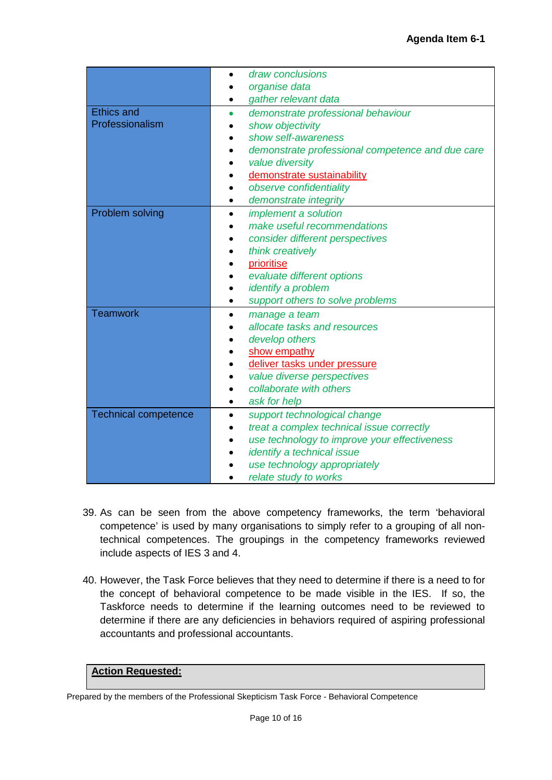|                             | draw conclusions                                 |
|-----------------------------|--------------------------------------------------|
|                             | organise data                                    |
|                             | gather relevant data                             |
| <b>Ethics and</b>           | demonstrate professional behaviour<br>$\bullet$  |
| Professionalism             | show objectivity                                 |
|                             | show self-awareness                              |
|                             | demonstrate professional competence and due care |
|                             | value diversity                                  |
|                             | demonstrate sustainability                       |
|                             | observe confidentiality                          |
|                             | demonstrate integrity<br>$\bullet$               |
| Problem solving             | implement a solution                             |
|                             | make useful recommendations                      |
|                             | consider different perspectives                  |
|                             | think creatively                                 |
|                             | prioritise                                       |
|                             | evaluate different options                       |
|                             | identify a problem<br>$\bullet$                  |
|                             | support others to solve problems<br>٠            |
| <b>Teamwork</b>             | manage a team<br>$\bullet$                       |
|                             | allocate tasks and resources                     |
|                             | develop others                                   |
|                             | show empathy                                     |
|                             | deliver tasks under pressure                     |
|                             | value diverse perspectives                       |
|                             | collaborate with others                          |
|                             | ask for help                                     |
| <b>Technical competence</b> | support technological change                     |
|                             | treat a complex technical issue correctly        |
|                             | use technology to improve your effectiveness     |
|                             | identify a technical issue                       |
|                             | use technology appropriately                     |
|                             | relate study to works                            |

- 39. As can be seen from the above competency frameworks, the term 'behavioral competence' is used by many organisations to simply refer to a grouping of all nontechnical competences. The groupings in the competency frameworks reviewed include aspects of IES 3 and 4.
- 40. However, the Task Force believes that they need to determine if there is a need to for the concept of behavioral competence to be made visible in the IES. If so, the Taskforce needs to determine if the learning outcomes need to be reviewed to determine if there are any deficiencies in behaviors required of aspiring professional accountants and professional accountants.

# **Action Requested:**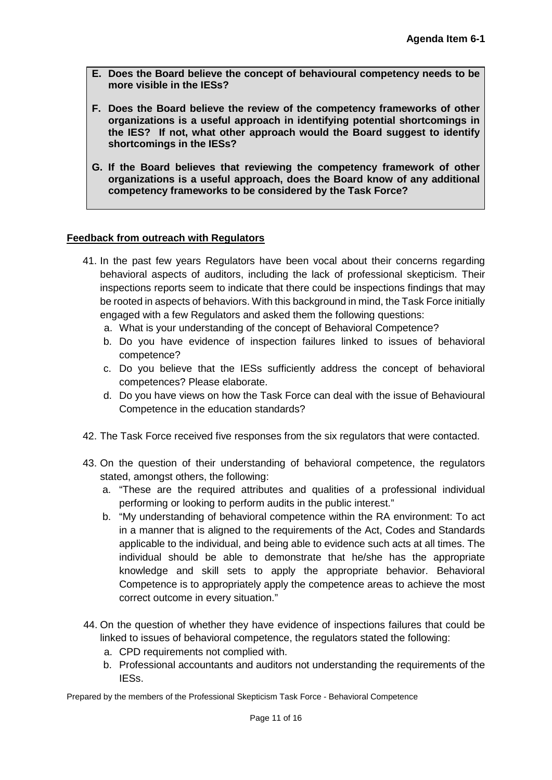- **E. Does the Board believe the concept of behavioural competency needs to be more visible in the IESs?**
- **F. Does the Board believe the review of the competency frameworks of other organizations is a useful approach in identifying potential shortcomings in the IES? If not, what other approach would the Board suggest to identify shortcomings in the IESs?**
- **G. If the Board believes that reviewing the competency framework of other organizations is a useful approach, does the Board know of any additional competency frameworks to be considered by the Task Force?**

## **Feedback from outreach with Regulators**

- 41. In the past few years Regulators have been vocal about their concerns regarding behavioral aspects of auditors, including the lack of professional skepticism. Their inspections reports seem to indicate that there could be inspections findings that may be rooted in aspects of behaviors. With this background in mind, the Task Force initially engaged with a few Regulators and asked them the following questions:
	- a. What is your understanding of the concept of Behavioral Competence?
	- b. Do you have evidence of inspection failures linked to issues of behavioral competence?
	- c. Do you believe that the IESs sufficiently address the concept of behavioral competences? Please elaborate.
	- d. Do you have views on how the Task Force can deal with the issue of Behavioural Competence in the education standards?
- 42. The Task Force received five responses from the six regulators that were contacted.
- 43. On the question of their understanding of behavioral competence, the regulators stated, amongst others, the following:
	- a. "These are the required attributes and qualities of a professional individual performing or looking to perform audits in the public interest."
	- b. "My understanding of behavioral competence within the RA environment: To act in a manner that is aligned to the requirements of the Act, Codes and Standards applicable to the individual, and being able to evidence such acts at all times. The individual should be able to demonstrate that he/she has the appropriate knowledge and skill sets to apply the appropriate behavior. Behavioral Competence is to appropriately apply the competence areas to achieve the most correct outcome in every situation."
- 44. On the question of whether they have evidence of inspections failures that could be linked to issues of behavioral competence, the regulators stated the following:
	- a. CPD requirements not complied with.
	- b. Professional accountants and auditors not understanding the requirements of the IESs.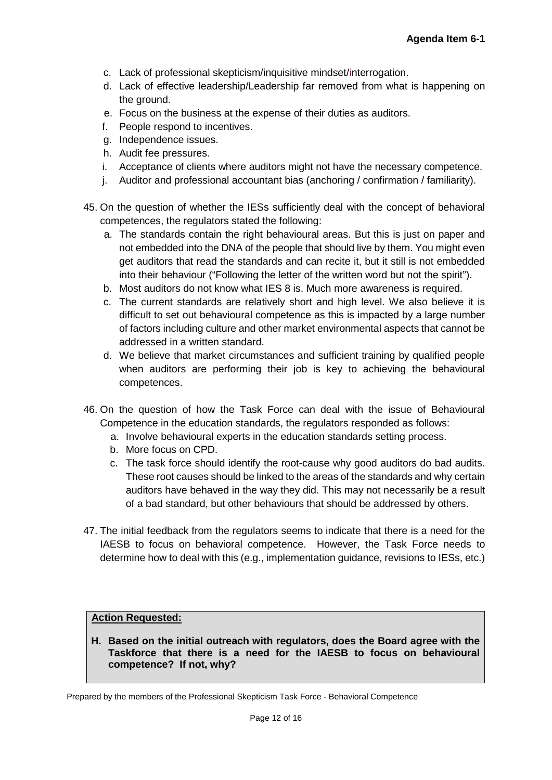- c. Lack of professional skepticism/inquisitive mindset/interrogation.
- d. Lack of effective leadership/Leadership far removed from what is happening on the ground.
- e. Focus on the business at the expense of their duties as auditors.
- f. People respond to incentives.
- g. Independence issues.
- h. Audit fee pressures.
- i. Acceptance of clients where auditors might not have the necessary competence.
- j. Auditor and professional accountant bias (anchoring / confirmation / familiarity).
- 45. On the question of whether the IESs sufficiently deal with the concept of behavioral competences, the regulators stated the following:
	- a. The standards contain the right behavioural areas. But this is just on paper and not embedded into the DNA of the people that should live by them. You might even get auditors that read the standards and can recite it, but it still is not embedded into their behaviour ("Following the letter of the written word but not the spirit").
	- b. Most auditors do not know what IES 8 is. Much more awareness is required.
	- c. The current standards are relatively short and high level. We also believe it is difficult to set out behavioural competence as this is impacted by a large number of factors including culture and other market environmental aspects that cannot be addressed in a written standard.
	- d. We believe that market circumstances and sufficient training by qualified people when auditors are performing their job is key to achieving the behavioural competences.
- 46. On the question of how the Task Force can deal with the issue of Behavioural Competence in the education standards, the regulators responded as follows:
	- a. Involve behavioural experts in the education standards setting process.
	- b. More focus on CPD.
	- c. The task force should identify the root-cause why good auditors do bad audits. These root causes should be linked to the areas of the standards and why certain auditors have behaved in the way they did. This may not necessarily be a result of a bad standard, but other behaviours that should be addressed by others.
- 47. The initial feedback from the regulators seems to indicate that there is a need for the IAESB to focus on behavioral competence. However, the Task Force needs to determine how to deal with this (e.g., implementation guidance, revisions to IESs, etc.)

## **Action Requested:**

**H. Based on the initial outreach with regulators, does the Board agree with the Taskforce that there is a need for the IAESB to focus on behavioural competence? If not, why?**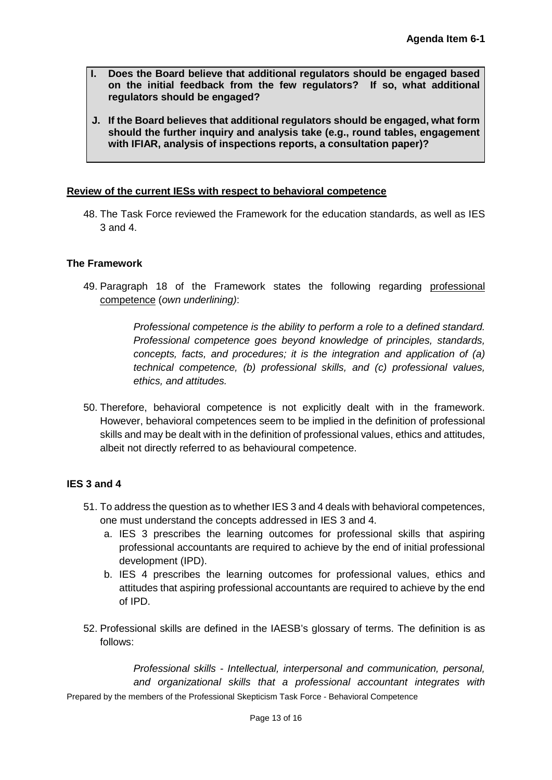- **I. Does the Board believe that additional regulators should be engaged based on the initial feedback from the few regulators? If so, what additional regulators should be engaged?**
- **J. If the Board believes that additional regulators should be engaged, what form should the further inquiry and analysis take (e.g., round tables, engagement with IFIAR, analysis of inspections reports, a consultation paper)?**

## **Review of the current IESs with respect to behavioral competence**

48. The Task Force reviewed the Framework for the education standards, as well as IES 3 and 4.

## **The Framework**

49. Paragraph 18 of the Framework states the following regarding professional competence (*own underlining)*:

> *Professional competence is the ability to perform a role to a defined standard. Professional competence goes beyond knowledge of principles, standards, concepts, facts, and procedures; it is the integration and application of (a) technical competence, (b) professional skills, and (c) professional values, ethics, and attitudes.*

50. Therefore, behavioral competence is not explicitly dealt with in the framework. However, behavioral competences seem to be implied in the definition of professional skills and may be dealt with in the definition of professional values, ethics and attitudes, albeit not directly referred to as behavioural competence.

## **IES 3 and 4**

- 51. To address the question as to whether IES 3 and 4 deals with behavioral competences, one must understand the concepts addressed in IES 3 and 4.
	- a. IES 3 prescribes the learning outcomes for professional skills that aspiring professional accountants are required to achieve by the end of initial professional development (IPD).
	- b. IES 4 prescribes the learning outcomes for professional values, ethics and attitudes that aspiring professional accountants are required to achieve by the end of IPD.
- 52. Professional skills are defined in the IAESB's glossary of terms. The definition is as follows:

Prepared by the members of the Professional Skepticism Task Force - Behavioral Competence *Professional skills - Intellectual, interpersonal and communication, personal, and organizational skills that a professional accountant integrates with*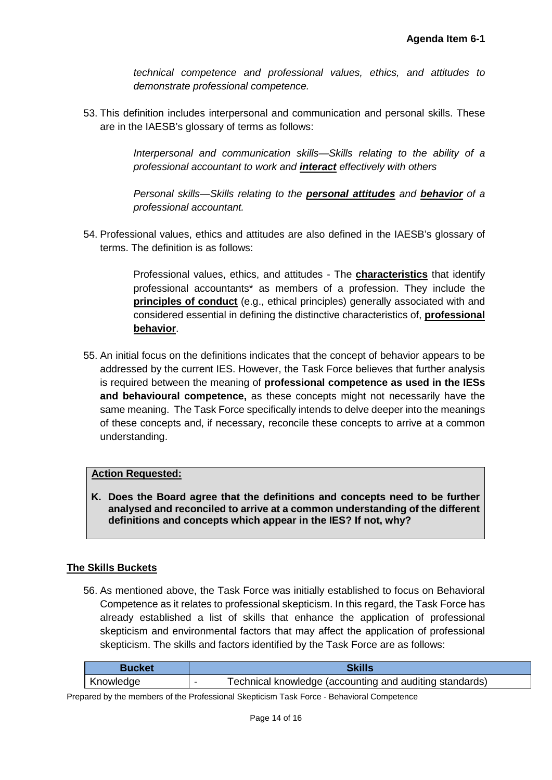*technical competence and professional values, ethics, and attitudes to demonstrate professional competence.*

53. This definition includes interpersonal and communication and personal skills. These are in the IAESB's glossary of terms as follows:

> *Interpersonal and communication skills—Skills relating to the ability of a professional accountant to work and interact effectively with others*

> *Personal skills—Skills relating to the personal attitudes and behavior of a professional accountant.*

54. Professional values, ethics and attitudes are also defined in the IAESB's glossary of terms. The definition is as follows:

> Professional values, ethics, and attitudes - The **characteristics** that identify professional accountants\* as members of a profession. They include the **principles of conduct** (e.g., ethical principles) generally associated with and considered essential in defining the distinctive characteristics of, **professional behavior**.

55. An initial focus on the definitions indicates that the concept of behavior appears to be addressed by the current IES. However, the Task Force believes that further analysis is required between the meaning of **professional competence as used in the IESs and behavioural competence,** as these concepts might not necessarily have the same meaning. The Task Force specifically intends to delve deeper into the meanings of these concepts and, if necessary, reconcile these concepts to arrive at a common understanding.

## **Action Requested:**

**K. Does the Board agree that the definitions and concepts need to be further analysed and reconciled to arrive at a common understanding of the different definitions and concepts which appear in the IES? If not, why?** 

# **The Skills Buckets**

56. As mentioned above, the Task Force was initially established to focus on Behavioral Competence as it relates to professional skepticism. In this regard, the Task Force has already established a list of skills that enhance the application of professional skepticism and environmental factors that may affect the application of professional skepticism. The skills and factors identified by the Task Force are as follows:

| ימאחוז    |                                                         |
|-----------|---------------------------------------------------------|
| Knowledge | Technical knowledge (accounting and auditing standards) |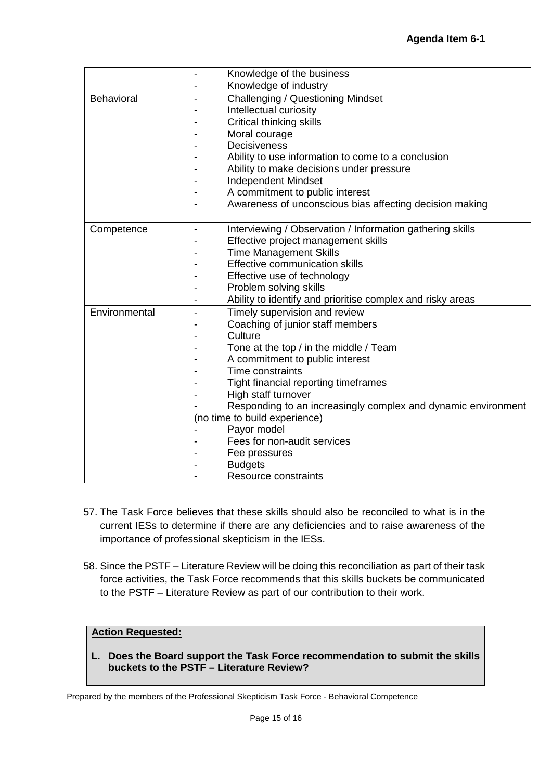|               | Knowledge of the business                                                             |
|---------------|---------------------------------------------------------------------------------------|
|               | Knowledge of industry                                                                 |
| Behavioral    | <b>Challenging / Questioning Mindset</b><br>$\blacksquare$                            |
|               | Intellectual curiosity                                                                |
|               | Critical thinking skills                                                              |
|               | Moral courage                                                                         |
|               | <b>Decisiveness</b>                                                                   |
|               | Ability to use information to come to a conclusion                                    |
|               | Ability to make decisions under pressure                                              |
|               | <b>Independent Mindset</b>                                                            |
|               | A commitment to public interest                                                       |
|               | Awareness of unconscious bias affecting decision making                               |
|               |                                                                                       |
| Competence    | Interviewing / Observation / Information gathering skills<br>$\overline{\phantom{a}}$ |
|               | Effective project management skills                                                   |
|               | <b>Time Management Skills</b>                                                         |
|               | Effective communication skills                                                        |
|               | Effective use of technology                                                           |
|               | Problem solving skills                                                                |
|               | Ability to identify and prioritise complex and risky areas<br>-                       |
| Environmental | Timely supervision and review<br>$\blacksquare$                                       |
|               | Coaching of junior staff members                                                      |
|               | Culture                                                                               |
|               | Tone at the top / in the middle / Team                                                |
|               | A commitment to public interest                                                       |
|               | Time constraints                                                                      |
|               | Tight financial reporting timeframes                                                  |
|               | High staff turnover                                                                   |
|               | Responding to an increasingly complex and dynamic environment                         |
|               | (no time to build experience)                                                         |
|               | Payor model                                                                           |
|               | Fees for non-audit services                                                           |
|               | Fee pressures                                                                         |
|               | <b>Budgets</b>                                                                        |
|               | Resource constraints                                                                  |

- 57. The Task Force believes that these skills should also be reconciled to what is in the current IESs to determine if there are any deficiencies and to raise awareness of the importance of professional skepticism in the IESs.
- 58. Since the PSTF Literature Review will be doing this reconciliation as part of their task force activities, the Task Force recommends that this skills buckets be communicated to the PSTF – Literature Review as part of our contribution to their work.

# **Action Requested:**

**L. Does the Board support the Task Force recommendation to submit the skills buckets to the PSTF – Literature Review?**